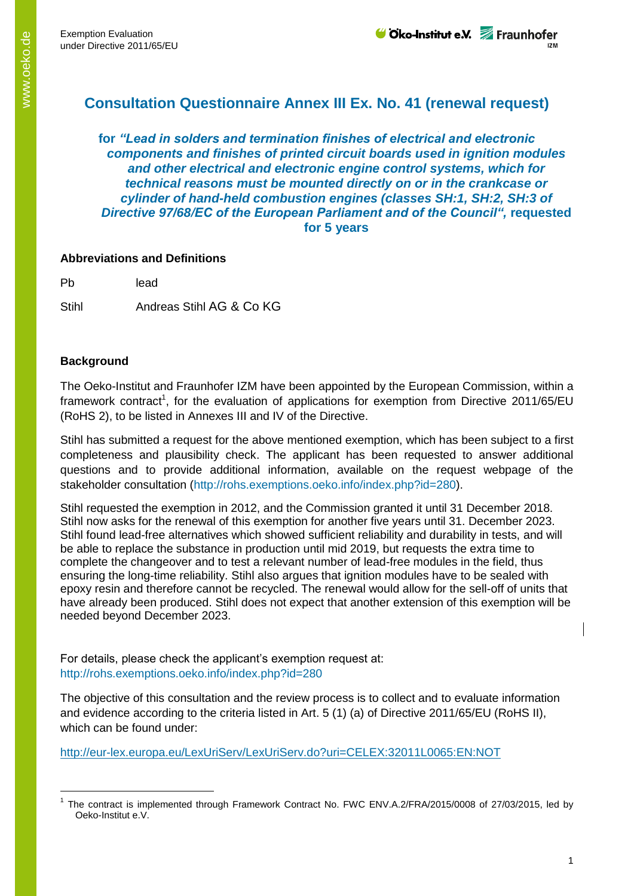## **Consultation Questionnaire Annex III Ex. No. 41 (renewal request)**

**for** *"Lead in solders and termination finishes of electrical and electronic components and finishes of printed circuit boards used in ignition modules and other electrical and electronic engine control systems, which for technical reasons must be mounted directly on or in the crankcase or cylinder of hand-held combustion engines (classes SH:1, SH:2, SH:3 of*  **Directive 97/68/EC of the European Parliament and of the Council", requested for 5 years**

## **Abbreviations and Definitions**

Pb lead

Stihl **Andreas Stihl AG & Co KG** 

## **Background**

-

The Oeko-Institut and Fraunhofer IZM have been appointed by the European Commission, within a framework contract<sup>1</sup>, for the evaluation of applications for exemption from Directive 2011/65/EU (RoHS 2), to be listed in Annexes III and IV of the Directive.

Stihl has submitted a request for the above mentioned exemption, which has been subject to a first completeness and plausibility check. The applicant has been requested to answer additional questions and to provide additional information, available on the request webpage of the stakeholder consultation (http://rohs.exemptions.oeko.info/index.php?id=280).

Stihl requested the exemption in 2012, and the Commission granted it until 31 December 2018. Stihl now asks for the renewal of this exemption for another five years until 31. December 2023. Stihl found lead-free alternatives which showed sufficient reliability and durability in tests, and will be able to replace the substance in production until mid 2019, but requests the extra time to complete the changeover and to test a relevant number of lead-free modules in the field, thus ensuring the long-time reliability. Stihl also argues that ignition modules have to be sealed with epoxy resin and therefore cannot be recycled. The renewal would allow for the sell-off of units that have already been produced. Stihl does not expect that another extension of this exemption will be needed beyond December 2023.

For details, please check the applicant's exemption request at: http://rohs.exemptions.oeko.info/index.php?id=280

The objective of this consultation and the review process is to collect and to evaluate information and evidence according to the criteria listed in Art. 5 (1) (a) of Directive 2011/65/EU (RoHS II), which can be found under:

<http://eur-lex.europa.eu/LexUriServ/LexUriServ.do?uri=CELEX:32011L0065:EN:NOT>

<sup>&</sup>lt;sup>1</sup> The contract is implemented through Framework Contract No. FWC ENV.A.2/FRA/2015/0008 of 27/03/2015, led by Oeko-Institut e.V.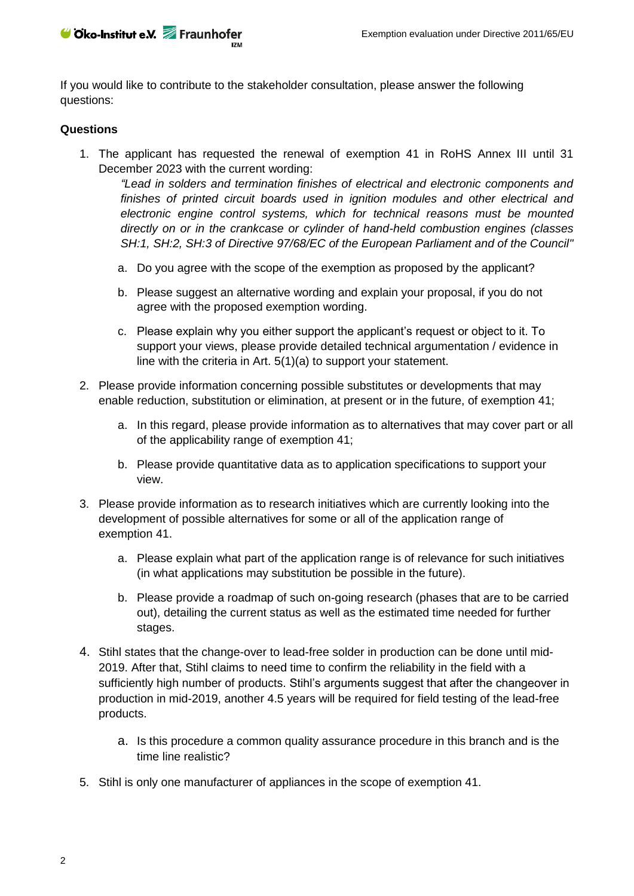If you would like to contribute to the stakeholder consultation, please answer the following questions:

## **Questions**

1. The applicant has requested the renewal of exemption 41 in RoHS Annex III until 31 December 2023 with the current wording:

*"Lead in solders and termination finishes of electrical and electronic components and finishes of printed circuit boards used in ignition modules and other electrical and electronic engine control systems, which for technical reasons must be mounted directly on or in the crankcase or cylinder of hand-held combustion engines (classes SH:1, SH:2, SH:3 of Directive 97/68/EC of the European Parliament and of the Council"*

- a. Do you agree with the scope of the exemption as proposed by the applicant?
- b. Please suggest an alternative wording and explain your proposal, if you do not agree with the proposed exemption wording.
- c. Please explain why you either support the applicant's request or object to it. To support your views, please provide detailed technical argumentation / evidence in line with the criteria in Art. 5(1)(a) to support your statement.
- 2. Please provide information concerning possible substitutes or developments that may enable reduction, substitution or elimination, at present or in the future, of exemption 41;
	- a. In this regard, please provide information as to alternatives that may cover part or all of the applicability range of exemption 41;
	- b. Please provide quantitative data as to application specifications to support your view.
- 3. Please provide information as to research initiatives which are currently looking into the development of possible alternatives for some or all of the application range of exemption 41.
	- a. Please explain what part of the application range is of relevance for such initiatives (in what applications may substitution be possible in the future).
	- b. Please provide a roadmap of such on-going research (phases that are to be carried out), detailing the current status as well as the estimated time needed for further stages.
- 4. Stihl states that the change-over to lead-free solder in production can be done until mid-2019. After that, Stihl claims to need time to confirm the reliability in the field with a sufficiently high number of products. Stihl's arguments suggest that after the changeover in production in mid-2019, another 4.5 years will be required for field testing of the lead-free products.
	- a. Is this procedure a common quality assurance procedure in this branch and is the time line realistic?
- 5. Stihl is only one manufacturer of appliances in the scope of exemption 41.